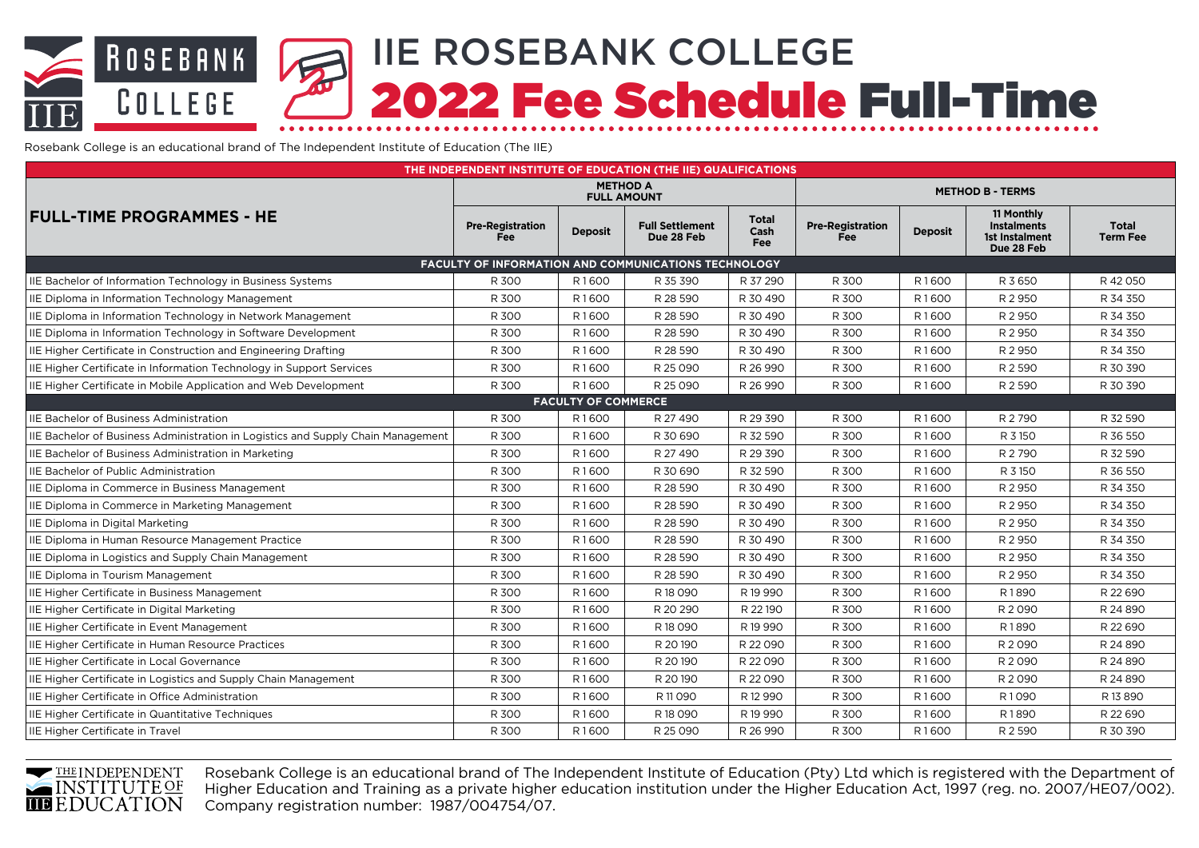# IIE ROSEBANK COLLEGE **ROSEBANK** 2022 Fee Schedule Full-Time COLLEGE

Rosebank College is an educational brand of The Independent Institute of Education (The IIE)

| THE INDEPENDENT INSTITUTE OF EDUCATION (THE IIE) QUALIFICATIONS                  |                                                             |                   |                                      |                             |                                       |                   |                                                                  |                                 |  |
|----------------------------------------------------------------------------------|-------------------------------------------------------------|-------------------|--------------------------------------|-----------------------------|---------------------------------------|-------------------|------------------------------------------------------------------|---------------------------------|--|
|                                                                                  | <b>METHOD A</b><br><b>FULL AMOUNT</b>                       |                   |                                      |                             | <b>METHOD B - TERMS</b>               |                   |                                                                  |                                 |  |
| <b>FULL-TIME PROGRAMMES - HE</b>                                                 | <b>Pre-Registration</b><br><b>Fee</b>                       | <b>Deposit</b>    | <b>Full Settlement</b><br>Due 28 Feb | Total<br>Cash<br><b>Fee</b> | <b>Pre-Registration</b><br><b>Fee</b> | <b>Deposit</b>    | 11 Monthly<br><b>Instalments</b><br>1st Instalment<br>Due 28 Feb | <b>Total</b><br><b>Term Fee</b> |  |
|                                                                                  | <b>FACULTY OF INFORMATION AND COMMUNICATIONS TECHNOLOGY</b> |                   |                                      |                             |                                       |                   |                                                                  |                                 |  |
| IIE Bachelor of Information Technology in Business Systems                       | R 300                                                       | R1600             | R 35 390                             | R 37 290                    | R 300                                 | R1600             | R 3 650                                                          | R42050                          |  |
| IIE Diploma in Information Technology Management                                 | R 300                                                       | R1600             | R 28 590                             | R 30 490                    | R 300                                 | R1600             | R 2 950                                                          | R 34 350                        |  |
| IIE Diploma in Information Technology in Network Management                      | R 300                                                       | R1600             | R 28 590                             | R 30 490                    | R 300                                 | R1600             | R 2 950                                                          | R 34 350                        |  |
| IIE Diploma in Information Technology in Software Development                    | R 300                                                       | R1600             | R 28 590                             | R 30 490                    | R 300                                 | R1600             | R 2 950                                                          | R 34 350                        |  |
| IIE Higher Certificate in Construction and Engineering Drafting                  | R 300                                                       | R <sub>1600</sub> | R 28 590                             | R 30 490                    | R 300                                 | R <sub>1600</sub> | R 2 950                                                          | R 34 350                        |  |
| IIE Higher Certificate in Information Technology in Support Services             | R 300                                                       | R1600             | R 25 090                             | R 26 990                    | R 300                                 | R1600             | R 2 5 9 0                                                        | R 30 390                        |  |
| IIE Higher Certificate in Mobile Application and Web Development                 | R 300                                                       | R1600             | R 25 090                             | R 26 990                    | R 300                                 | R1600             | R 2 5 9 0                                                        | R 30 390                        |  |
| <b>FACULTY OF COMMERCE</b>                                                       |                                                             |                   |                                      |                             |                                       |                   |                                                                  |                                 |  |
| <b>IIE Bachelor of Business Administration</b>                                   | R 300                                                       | R <sub>1600</sub> | R 27 490                             | R 29 390                    | R 300                                 | R <sub>1600</sub> | R 2790                                                           | R 32 590                        |  |
| IIE Bachelor of Business Administration in Logistics and Supply Chain Management | R 300                                                       | R1600             | R 30 690                             | R 32 590                    | R 300                                 | R1600             | R 3 150                                                          | R 36 550                        |  |
| IIE Bachelor of Business Administration in Marketing                             | R 300                                                       | R1600             | R 27 490                             | R 29 390                    | R 300                                 | R1600             | R 2790                                                           | R 32 590                        |  |
| <b>IIE Bachelor of Public Administration</b>                                     | R 300                                                       | R1600             | R 30 690                             | R 32 590                    | R 300                                 | R1600             | R 3 150                                                          | R 36 550                        |  |
| IIE Diploma in Commerce in Business Management                                   | R 300                                                       | R1600             | R 28 590                             | R 30 490                    | R 300                                 | R1600             | R 2 950                                                          | R 34 350                        |  |
| IIE Diploma in Commerce in Marketing Management                                  | R 300                                                       | R1600             | R 28 590                             | R 30 490                    | R 300                                 | R1600             | R 2 950                                                          | R 34 350                        |  |
| IIE Diploma in Digital Marketing                                                 | R 300                                                       | R1600             | R 28 590                             | R 30 490                    | R 300                                 | R1600             | R 2 950                                                          | R 34 350                        |  |
| IIE Diploma in Human Resource Management Practice                                | R 300                                                       | R1600             | R 28 590                             | R 30 490                    | R 300                                 | R1600             | R 2 950                                                          | R 34 350                        |  |
| IIE Diploma in Logistics and Supply Chain Management                             | R 300                                                       | R1600             | R 28 590                             | R 30 490                    | R 300                                 | R1600             | R 2 950                                                          | R 34 350                        |  |
| IIE Diploma in Tourism Management                                                | R 300                                                       | R1600             | R 28 590                             | R 30 490                    | R 300                                 | R1600             | R 2 950                                                          | R 34 350                        |  |
| IIE Higher Certificate in Business Management                                    | R 300                                                       | R1600             | R 18 090                             | R 19 990                    | R 300                                 | R1600             | R1890                                                            | R 22 690                        |  |
| IIE Higher Certificate in Digital Marketing                                      | R 300                                                       | R1600             | R 20 290                             | R 22 190                    | R 300                                 | R1600             | R 2090                                                           | R 24 890                        |  |
| IIE Higher Certificate in Event Management                                       | R 300                                                       | R1600             | R 18 090                             | R19990                      | R 300                                 | R1600             | R1890                                                            | R 22 690                        |  |
| IIE Higher Certificate in Human Resource Practices                               | R 300                                                       | R1600             | R 20 190                             | R 22 090                    | R 300                                 | R1600             | R 2090                                                           | R 24 890                        |  |
| IIE Higher Certificate in Local Governance                                       | R 300                                                       | R1600             | R 20 190                             | R 22 090                    | R 300                                 | R1600             | R 2090                                                           | R 24 890                        |  |
| IIE Higher Certificate in Logistics and Supply Chain Management                  | R 300                                                       | R1600             | R 20190                              | R 22 090                    | R 300                                 | R1600             | R 2090                                                           | R 24 890                        |  |
| IIE Higher Certificate in Office Administration                                  | R 300                                                       | R1600             | R 11 0 9 0                           | R 12 990                    | R 300                                 | R1600             | R1090                                                            | R13890                          |  |
| IIE Higher Certificate in Quantitative Techniques                                | R 300                                                       | R1600             | R 18 090                             | R 19 990                    | R 300                                 | R1600             | R1890                                                            | R 22 690                        |  |
| IIE Higher Certificate in Travel                                                 | R 300                                                       | R1600             | R 25 090                             | R 26 990                    | R 300                                 | R1600             | R 2 5 9 0                                                        | R 30 390                        |  |



Rosebank College is an educational brand of The Independent Institute of Education (Pty) Ltd which is registered with the Department of Higher Education and Training as a private higher education institution under the Higher Education Act, 1997 (reg. no. 2007/HE07/002). Company registration number: 1987/004754/07.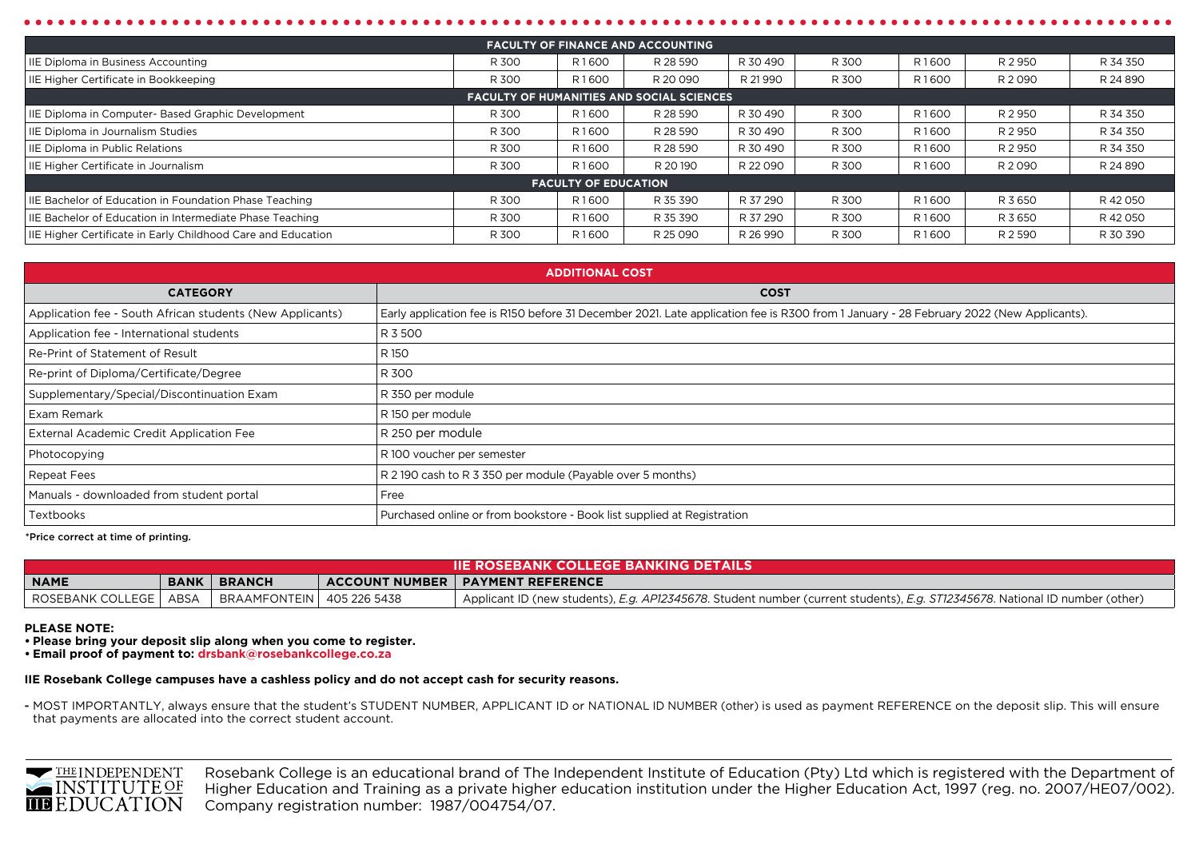| <b>FACULTY OF FINANCE AND ACCOUNTING</b>                     |       |                                        |                                                  |                   |       |                   |          |          |
|--------------------------------------------------------------|-------|----------------------------------------|--------------------------------------------------|-------------------|-------|-------------------|----------|----------|
| IIE Diploma in Business Accounting                           | R 300 | R1600                                  | R 28 590                                         | R 30 490          | R 300 | R1600             | R 2 950  | R 34 350 |
| IIE Higher Certificate in Bookkeeping                        | R 300 | R 21 990<br>R1600<br>R 20 090<br>R 300 |                                                  |                   | R1600 | R 2090            | R 24 890 |          |
|                                                              |       |                                        | <b>FACULTY OF HUMANITIES AND SOCIAL SCIENCES</b> |                   |       |                   |          |          |
| IIE Diploma in Computer- Based Graphic Development           | R 300 | R1600                                  | R 28 590                                         | R 30 490          | R 300 | R1600             | R 2 950  | R 34 350 |
| IIE Diploma in Journalism Studies                            | R 300 | R1600                                  | R 28 590                                         | R 30 490          | R 300 | R1600             | R 2 950  | R 34 350 |
| IIE Diploma in Public Relations                              | R 300 | R1600                                  | R 28 590                                         | R 30 490          | R 300 | R1600             | R 2 950  | R 34 350 |
| IIE Higher Certificate in Journalism                         | R 300 | R1600                                  | R 20 190                                         | R 22 090<br>R 300 |       | R <sub>1600</sub> | R 2090   | R 24 890 |
|                                                              |       | <b>FACULTY OF EDUCATION</b>            |                                                  |                   |       |                   |          |          |
| IIE Bachelor of Education in Foundation Phase Teaching       | R 300 | R1600                                  | R 35 390                                         | R 37 290          | R 300 | R1600             | R 3 650  | R 42 050 |
| IIE Bachelor of Education in Intermediate Phase Teaching     | R 300 | R1600                                  | R 35 390                                         | R 37 290          | R 300 | R1600             | R 3 650  | R 42 050 |
| IIE Higher Certificate in Early Childhood Care and Education | R 300 | R1600                                  | R 25 090                                         | R 26 990          | R 300 | R1600             | R 2 590  | R 30 390 |

| <b>ADDITIONAL COST</b>                                    |                                                                                                                                         |  |  |  |  |
|-----------------------------------------------------------|-----------------------------------------------------------------------------------------------------------------------------------------|--|--|--|--|
| <b>CATEGORY</b>                                           | <b>COST</b>                                                                                                                             |  |  |  |  |
| Application fee - South African students (New Applicants) | Early application fee is R150 before 31 December 2021. Late application fee is R300 from 1 January - 28 February 2022 (New Applicants). |  |  |  |  |
| Application fee - International students                  | R 3 500                                                                                                                                 |  |  |  |  |
| Re-Print of Statement of Result                           | R 150                                                                                                                                   |  |  |  |  |
| Re-print of Diploma/Certificate/Degree                    | R 300                                                                                                                                   |  |  |  |  |
| Supplementary/Special/Discontinuation Exam                | R 350 per module                                                                                                                        |  |  |  |  |
| Exam Remark                                               | R 150 per module                                                                                                                        |  |  |  |  |
| External Academic Credit Application Fee                  | R 250 per module                                                                                                                        |  |  |  |  |
| Photocopying                                              | R 100 voucher per semester                                                                                                              |  |  |  |  |
| <b>Repeat Fees</b>                                        | R 2 190 cash to R 3 350 per module (Payable over 5 months)                                                                              |  |  |  |  |
| Manuals - downloaded from student portal                  | Free                                                                                                                                    |  |  |  |  |
| Textbooks                                                 | Purchased online or from bookstore - Book list supplied at Registration                                                                 |  |  |  |  |

#### \*Price correct at time of printing.

| <b>THE ROSEBANK COLLEGE BANKING DETAILS</b> |             |                             |  |                                                                                                                              |  |  |  |
|---------------------------------------------|-------------|-----------------------------|--|------------------------------------------------------------------------------------------------------------------------------|--|--|--|
| <b>NAME</b>                                 | <b>BANK</b> | <b>BRANCH</b>               |  | <b>ACCOUNT NUMBER   PAYMENT REFERENCE</b>                                                                                    |  |  |  |
| ROSEBANK COLLEGE   ABSA                     |             | BRAAMFONTEIN   405 226 5438 |  | Applicant ID (new students), E.g. AP12345678. Student number (current students), E.g. ST12345678. National ID number (other) |  |  |  |

#### **PLEASE NOTE:**

**• Please bring your deposit slip along when you come to register.**

**• Email proof of payment to: drsbank@rosebankcollege.co.za**

#### **IIE Rosebank College campuses have a cashless policy and do not accept cash for security reasons.**

- MOST IMPORTANTLY, always ensure that the student's STUDENT NUMBER, APPLICANT ID or NATIONAL ID NUMBER (other) is used as payment REFERENCE on the deposit slip. This will ensure that payments are allocated into the correct student account.



Rosebank College is an educational brand of The Independent Institute of Education (Pty) Ltd which is registered with the Department of Higher Education and Training as a private higher education institution under the Higher Education Act, 1997 (reg. no. 2007/HE07/002). Company registration number: 1987/004754/07.